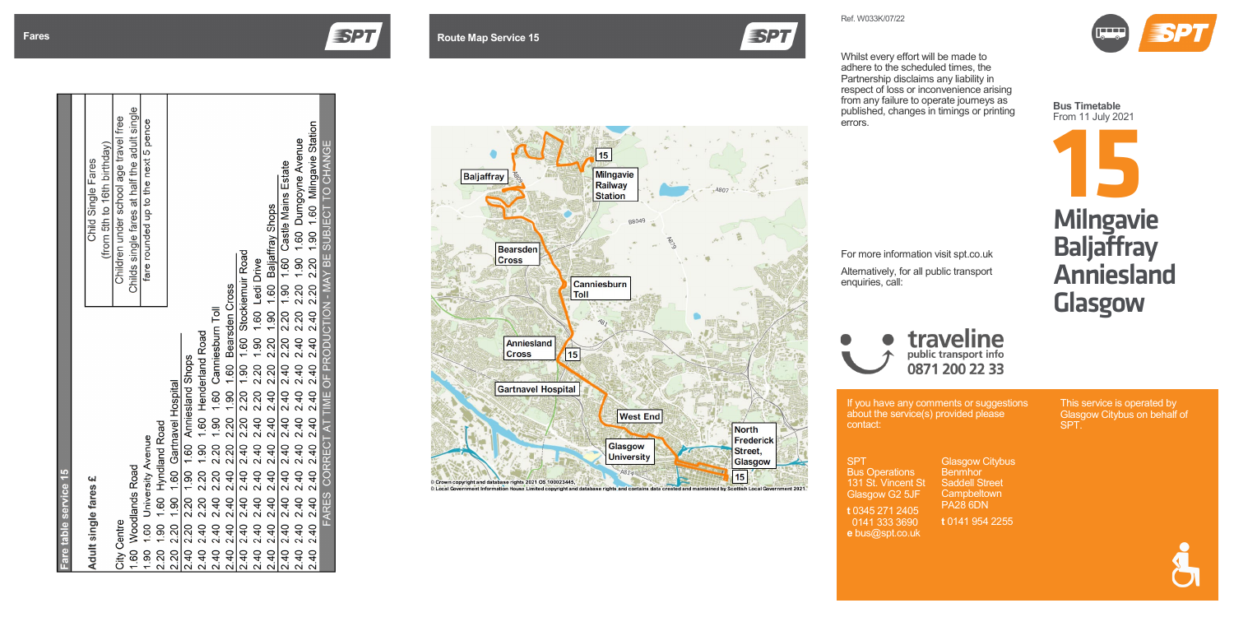If you have any comments or suggestions

about the service(s) provided please contact:

SPT Bus Operations 131 St. Vincent St Glasgow G2 5JF

This service is operated by Glasgow Citybus on behalf of SPT.

**t** 0345 271 2405 0141 333 3690 **e** bus@spt.co.uk

# **Fares Route Map Service 15**



Glasgow Citybus **Benmhor** Saddell Street **Campbeltown** PA28 6DN

**t** 0141 954 2255



**Bus Timetable** From 11 July 2021

| Fare table service 15                                          |                                              |
|----------------------------------------------------------------|----------------------------------------------|
|                                                                |                                              |
| Adult single fares £                                           | Child Single Fares                           |
|                                                                | (from 5th to 16th birthday)                  |
| <b>City Centre</b>                                             | Children under school age travel free        |
| 1.60 Woodlands Road                                            | Childs single fares at half the adult single |
| 1.90 1.60 University Avenue                                    | fare rounded up to the next 5 pence          |
| 2.20 1.90 1.60 Hyndland Road                                   |                                              |
| 2.20 2.20 1.90 1.60 Gartnavel Hospital                         |                                              |
| 2.40 2.20 2.20 1.90 1.60 Anniesland Shops                      |                                              |
| 2.40 2.40 2.20 2.20 1.90 1.60 Henderland Road                  |                                              |
| 2.40 2.40 2.20 2.20 1.90 1.60 Canniesburn Toll                 |                                              |
| 2.40 2.40 2.40 2.40 2.20 2.20 1.90 1.60 Bearsden Cross         |                                              |
| 2.40 2.40 2.40 2.40 2.40 2.20 2.20 1.90 1.60 Stockiemuir Road  |                                              |
| 2.40 2.40 2.40 2.40 2.40 2.20 2.20 1.90 1.60 Ledi Drive        |                                              |
|                                                                |                                              |
|                                                                |                                              |
|                                                                |                                              |
|                                                                |                                              |
| FARES CORRECT AT TIME OF PRODUCTION - MAY BE SUBJECT TO CHANGE |                                              |
|                                                                |                                              |



Ref. W033 K/0 7/22

**ESPT** 

Whilst every effort will be made to adhere to the scheduled times, the Partnership disclaims any liability in respect of loss or inconvenience arising from any failure to operate journeys as published, changes in timings or printing errors.



# traveline 0871 200 22 33

For more information visit spt.co.uk Alternatively, for all public transport enquiries, call: